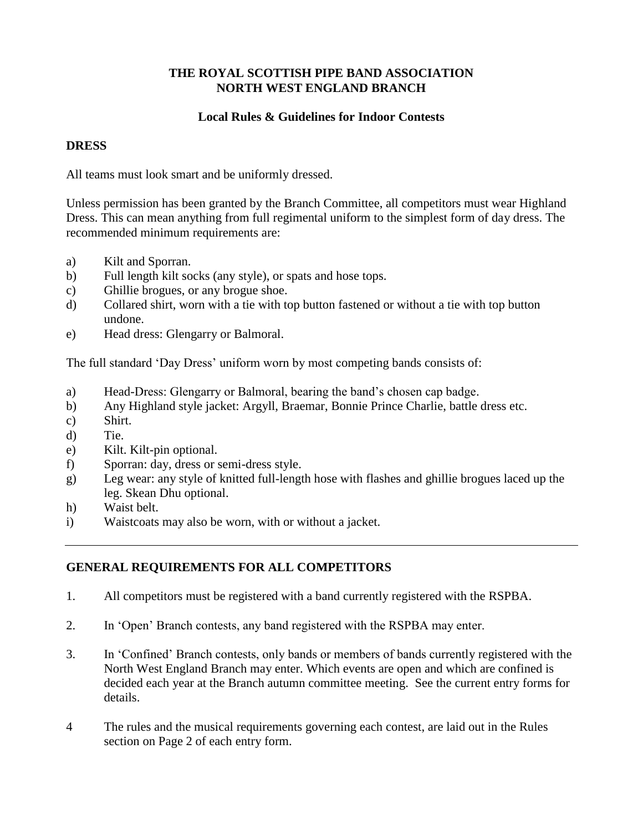## **THE ROYAL SCOTTISH PIPE BAND ASSOCIATION NORTH WEST ENGLAND BRANCH**

## **Local Rules & Guidelines for Indoor Contests**

#### **DRESS**

All teams must look smart and be uniformly dressed.

Unless permission has been granted by the Branch Committee, all competitors must wear Highland Dress. This can mean anything from full regimental uniform to the simplest form of day dress. The recommended minimum requirements are:

- a) Kilt and Sporran.
- b) Full length kilt socks (any style), or spats and hose tops.
- c) Ghillie brogues, or any brogue shoe.
- d) Collared shirt, worn with a tie with top button fastened or without a tie with top button undone.
- e) Head dress: Glengarry or Balmoral.

The full standard 'Day Dress' uniform worn by most competing bands consists of:

- a) Head-Dress: Glengarry or Balmoral, bearing the band's chosen cap badge.
- b) Any Highland style jacket: Argyll, Braemar, Bonnie Prince Charlie, battle dress etc.
- c) Shirt.
- d) Tie.
- e) Kilt. Kilt-pin optional.
- f) Sporran: day, dress or semi-dress style.
- g) Leg wear: any style of knitted full-length hose with flashes and ghillie brogues laced up the leg. Skean Dhu optional.
- h) Waist belt.
- i) Waistcoats may also be worn, with or without a jacket.

# **GENERAL REQUIREMENTS FOR ALL COMPETITORS**

- 1. All competitors must be registered with a band currently registered with the RSPBA.
- 2. In 'Open' Branch contests, any band registered with the RSPBA may enter.
- 3. In 'Confined' Branch contests, only bands or members of bands currently registered with the North West England Branch may enter. Which events are open and which are confined is decided each year at the Branch autumn committee meeting. See the current entry forms for details.
- 4 The rules and the musical requirements governing each contest, are laid out in the Rules section on Page 2 of each entry form.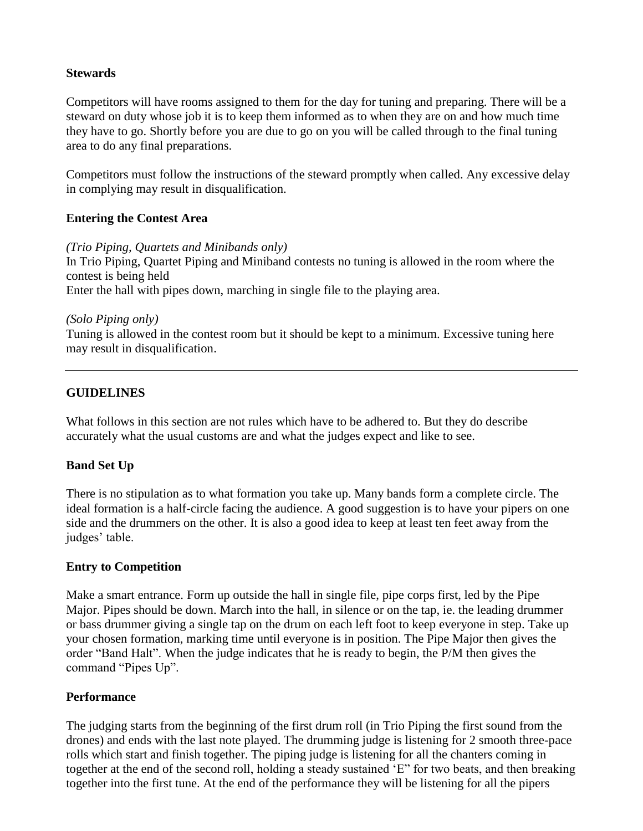#### **Stewards**

Competitors will have rooms assigned to them for the day for tuning and preparing. There will be a steward on duty whose job it is to keep them informed as to when they are on and how much time they have to go. Shortly before you are due to go on you will be called through to the final tuning area to do any final preparations.

Competitors must follow the instructions of the steward promptly when called. Any excessive delay in complying may result in disqualification.

## **Entering the Contest Area**

*(Trio Piping, Quartets and Minibands only)*

In Trio Piping, Quartet Piping and Miniband contests no tuning is allowed in the room where the contest is being held Enter the hall with pipes down, marching in single file to the playing area.

#### *(Solo Piping only)*

Tuning is allowed in the contest room but it should be kept to a minimum. Excessive tuning here may result in disqualification.

# **GUIDELINES**

What follows in this section are not rules which have to be adhered to. But they do describe accurately what the usual customs are and what the judges expect and like to see.

# **Band Set Up**

There is no stipulation as to what formation you take up. Many bands form a complete circle. The ideal formation is a half-circle facing the audience. A good suggestion is to have your pipers on one side and the drummers on the other. It is also a good idea to keep at least ten feet away from the judges' table.

#### **Entry to Competition**

Make a smart entrance. Form up outside the hall in single file, pipe corps first, led by the Pipe Major. Pipes should be down. March into the hall, in silence or on the tap, ie. the leading drummer or bass drummer giving a single tap on the drum on each left foot to keep everyone in step. Take up your chosen formation, marking time until everyone is in position. The Pipe Major then gives the order "Band Halt". When the judge indicates that he is ready to begin, the P/M then gives the command "Pipes Up".

#### **Performance**

The judging starts from the beginning of the first drum roll (in Trio Piping the first sound from the drones) and ends with the last note played. The drumming judge is listening for 2 smooth three-pace rolls which start and finish together. The piping judge is listening for all the chanters coming in together at the end of the second roll, holding a steady sustained 'E" for two beats, and then breaking together into the first tune. At the end of the performance they will be listening for all the pipers